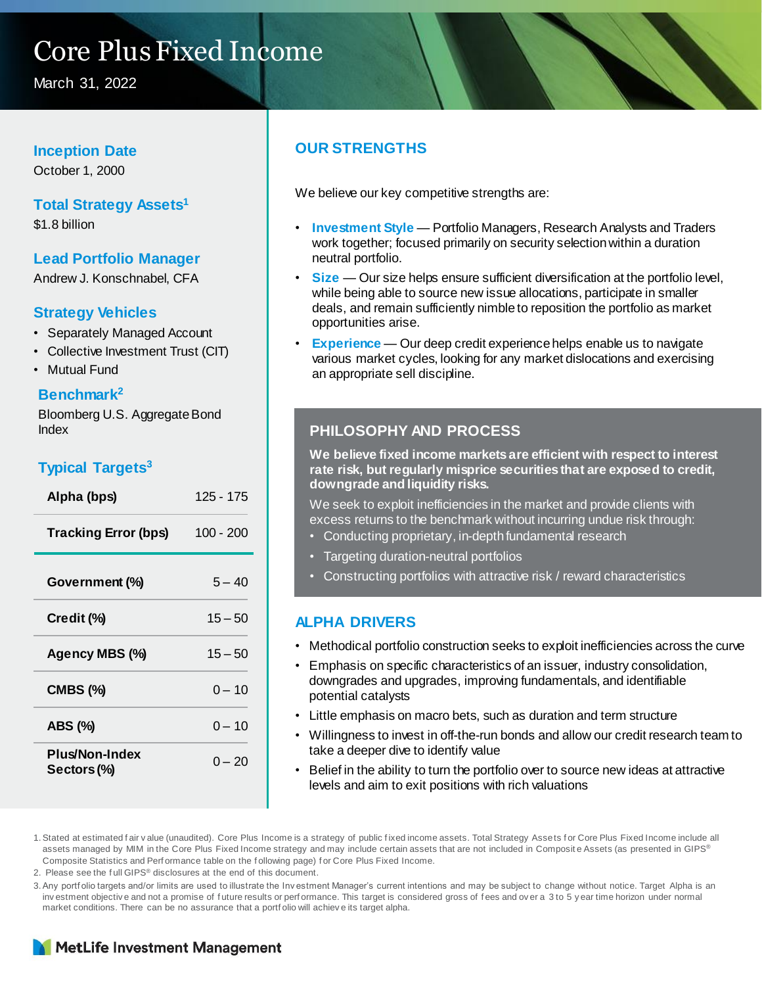## Core Plus Fixed Income

March 31, 2022

#### **Inception Date**

October 1, 2000

#### **Total Strategy Assets<sup>1</sup>**

\$1.8 billion

#### **Lead Portfolio Manager**

Andrew J. Konschnabel, CFA

#### **Strategy Vehicles**

- Separately Managed Account
- Collective Investment Trust (CIT)
- Mutual Fund

#### **Benchmark<sup>2</sup>**

Bloomberg U.S. Aggregate Bond Index

#### **Typical Targets<sup>3</sup>**

| Alpha (bps)                   | 125 - 175   |
|-------------------------------|-------------|
| <b>Tracking Error (bps)</b>   | $100 - 200$ |
| Government (%)                | $5 - 40$    |
| Credit (%)                    | $15 - 50$   |
| Agency MBS (%)                | $15 - 50$   |
| <b>CMBS (%)</b>               | $0 - 10$    |
| ABS (%)                       | $0 - 10$    |
| Plus/Non-Index<br>Sectors (%) | $0 - 20$    |

#### **OUR STRENGTHS**

We believe our key competitive strengths are:

- **Investment Style**  Portfolio Managers, Research Analysts and Traders work together; focused primarily on security selection within a duration neutral portfolio.
- **Size** Our size helps ensure sufficient diversification at the portfolio level, while being able to source new issue allocations, participate in smaller deals, and remain sufficiently nimble to reposition the portfolio as market opportunities arise.
- **Experience** Our deep credit experience helps enable us to navigate various market cycles, looking for any market dislocations and exercising an appropriate sell discipline.

#### **PHILOSOPHY AND PROCESS**

**We believe fixed income markets are efficient with respect to interest rate risk, but regularly misprice securities that are exposed to credit, downgrade and liquidity risks.** 

We seek to exploit inefficiencies in the market and provide clients with excess returns to the benchmark without incurring undue risk through:

- Conducting proprietary, in-depth fundamental research
- Targeting duration-neutral portfolios
- Constructing portfolios with attractive risk / reward characteristics

#### **ALPHA DRIVERS**

- Methodical portfolio construction seeks to exploit inefficiencies across the curve
- Emphasis on specific characteristics of an issuer, industry consolidation, downgrades and upgrades, improving fundamentals, and identifiable potential catalysts
- Little emphasis on macro bets, such as duration and term structure
- Willingness to invest in off-the-run bonds and allow our credit research team to take a deeper dive to identify value
- Belief in the ability to turn the portfolio over to source new ideas at attractive levels and aim to exit positions with rich valuations

1. Stated at estimated fair value (unaudited). Core Plus Income is a strategy of public fixed income assets. Total Strategy Assets for Core Plus Fixed Income include all assets managed by MIM in the Core Plus Fixed Income strategy and may include certain assets that are not included in Composite Assets (as presented in GIPS® Composite Statistics and Perf ormance table on the f ollowing page) f or Core Plus Fixed Income.

2. Please see the f ull GIPS® disclosures at the end of this document.

3.Any portf olio targets and/or limits are used to illustrate the Inv estment Manager's current intentions and may be subject to change without notice. Target Alpha is an inv estment objective and not a promise of future results or performance. This target is considered gross of fees and over a 3 to 5 y ear time horizon under normal market conditions. There can be no assurance that a portf olio will achiev e its target alpha.

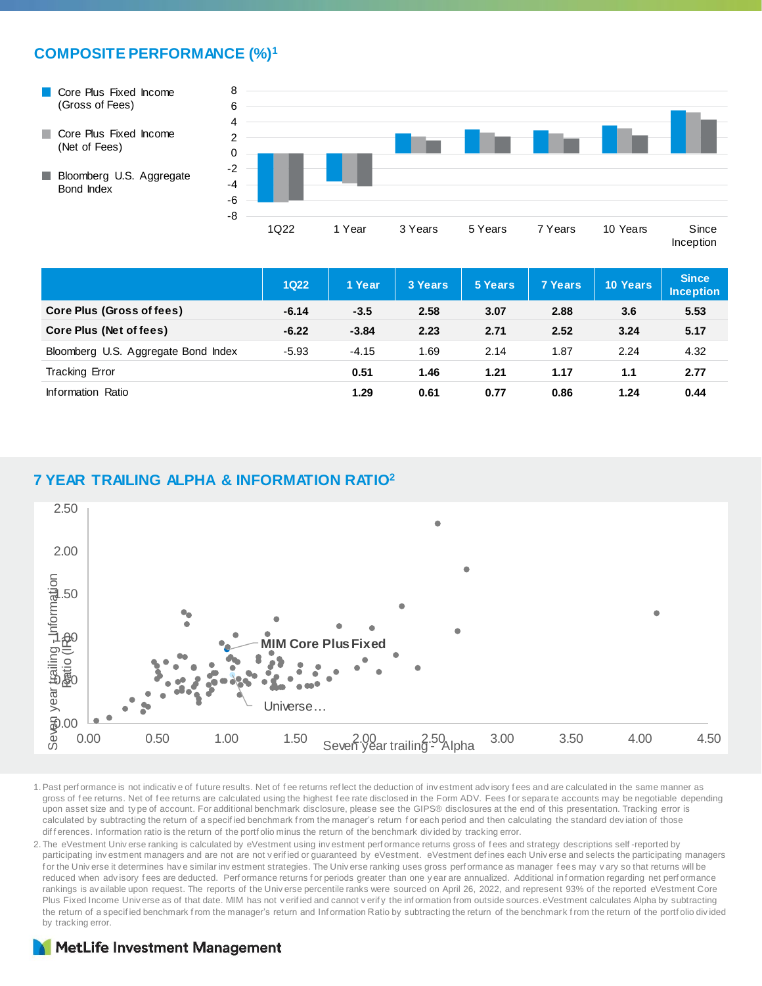#### **COMPOSITE PERFORMANCE (%)<sup>1</sup>**

- Core Plus Fixed Income (Gross of Fees)
- Core Plus Fixed Income (Net of Fees)

**Bloomberg U.S. Aggregate** 

Bond Index



|                                     | <b>1Q22</b> | 1 Year  | 3 Years | 5 Years | 7 Years | 10 Years | <b>Since</b><br><b>Inception</b> |
|-------------------------------------|-------------|---------|---------|---------|---------|----------|----------------------------------|
| Core Plus (Gross of fees)           | $-6.14$     | $-3.5$  | 2.58    | 3.07    | 2.88    | 3.6      | 5.53                             |
| Core Plus (Net of fees)             | $-6.22$     | $-3.84$ | 2.23    | 2.71    | 2.52    | 3.24     | 5.17                             |
| Bloomberg U.S. Aggregate Bond Index | $-5.93$     | $-4.15$ | 1.69    | 2.14    | 1.87    | 2.24     | 4.32                             |
| <b>Tracking Error</b>               |             | 0.51    | 1.46    | 1.21    | 1.17    | 1.1      | 2.77                             |
| Information Ratio                   |             | 1.29    | 0.61    | 0.77    | 0.86    | 1.24     | 0.44                             |

#### **7 YEAR TRAILING ALPHA & INFORMATION RATIO<sup>2</sup>**



1.Past perf ormance is not indicativ e of f uture results. Net of f ee returns ref lect the deduction of inv estment adv isory f ees and are calculated in the same manner as gross of fee returns. Net of fee returns are calculated using the highest fee rate disclosed in the Form ADV. Fees for separate accounts may be negotiable depending upon asset size and ty pe of account. For additional benchmark disclosure, please see the GIPS® disclosures at the end of this presentation. Tracking error is calculated by subtracting the return of a specified benchmark from the manager's return for each period and then calculating the standard deviation of those dif f erences. Information ratio is the return of the portf olio minus the return of the benchmark div ided by tracking error.

2. The eVestment Univ erse ranking is calculated by eVestment using investment perf ormance returns gross of fees and strategy descriptions self-reported by participating investment managers and are not are not verified or guaranteed by eVestment. eVestment defines each Universe and selects the participating managers for the Univ erse it determines have similar investment strategies. The Universe ranking uses gross performance as manager fees may vary so that returns will be reduced when advisory fees are deducted. Performance returns for periods greater than one y ear are annualized. Additional information regarding net performance rankings is av ailable upon request. The reports of the Universe percentile ranks were sourced on April 26, 2022, and represent 93% of the reported eVestment Core Plus Fixed Income Universe as of that date. MIM has not verified and cannot verify the information from outside sources. eVestment calculates Alpha by subtracting the return of a specif ied benchmark f rom the manager's return and Inf ormation Ratio by subtracting the return of the benchmark from the return of the portf olio div ided by tracking error.

#### **MetLife Investment Management**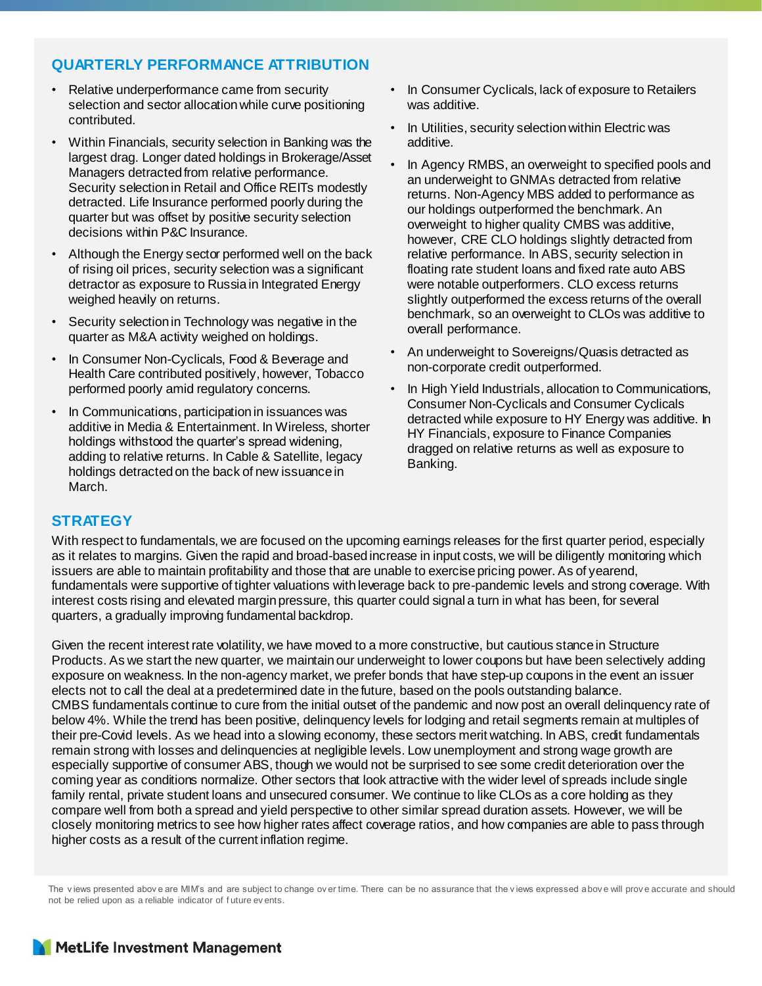#### **QUARTERLY PERFORMANCE ATTRIBUTION**

- Relative underperformance came from security selection and sector allocation while curve positioning contributed.
- Within Financials, security selection in Banking was the largest drag. Longer dated holdings in Brokerage/Asset Managers detracted from relative performance. Security selection in Retail and Office REITs modestly detracted. Life Insurance performed poorly during the quarter but was offset by positive security selection decisions within P&C Insurance.
- Although the Energy sector performed well on the back of rising oil prices, security selection was a significant detractor as exposure to Russia in Integrated Energy weighed heavily on returns.
- Security selection in Technology was negative in the quarter as M&A activity weighed on holdings.
- In Consumer Non-Cyclicals, Food & Beverage and Health Care contributed positively, however, Tobacco performed poorly amid regulatory concerns.
- In Communications, participation in issuances was additive in Media & Entertainment. In Wireless, shorter holdings withstood the quarter's spread widening, adding to relative returns. In Cable & Satellite, legacy holdings detracted on the back of new issuance in March.
- In Consumer Cyclicals, lack of exposure to Retailers was additive.
- In Utilities, security selection within Electric was additive.
- In Agency RMBS, an overweight to specified pools and an underweight to GNMAs detracted from relative returns. Non-Agency MBS added to performance as our holdings outperformed the benchmark. An overweight to higher quality CMBS was additive, however, CRE CLO holdings slightly detracted from relative performance. In ABS, security selection in floating rate student loans and fixed rate auto ABS were notable outperformers. CLO excess returns slightly outperformed the excess returns of the overall benchmark, so an overweight to CLOs was additive to overall performance.
- An underweight to Sovereigns/Quasis detracted as non-corporate credit outperformed.
- In High Yield Industrials, allocation to Communications, Consumer Non-Cyclicals and Consumer Cyclicals detracted while exposure to HY Energy was additive. In HY Financials, exposure to Finance Companies dragged on relative returns as well as exposure to Banking.

#### **STRATEGY**

With respect to fundamentals, we are focused on the upcoming earnings releases for the first quarter period, especially as it relates to margins. Given the rapid and broad-based increase in input costs, we will be diligently monitoring which issuers are able to maintain profitability and those that are unable to exercise pricing power. As of yearend, fundamentals were supportive of tighter valuations with leverage back to pre-pandemic levels and strong coverage. With interest costs rising and elevated margin pressure, this quarter could signal a turn in what has been, for several quarters, a gradually improving fundamental backdrop.

Given the recent interest rate volatility, we have moved to a more constructive, but cautious stance in Structure Products. As we start the new quarter, we maintain our underweight to lower coupons but have been selectively adding exposure on weakness. In the non-agency market, we prefer bonds that have step-up coupons in the event an issuer elects not to call the deal at a predetermined date in the future, based on the pools outstanding balance. CMBS fundamentals continue to cure from the initial outset of the pandemic and now post an overall delinquency rate of below 4%. While the trend has been positive, delinquency levels for lodging and retail segments remain at multiples of their pre-Covid levels. As we head into a slowing economy, these sectors merit watching. In ABS, credit fundamentals remain strong with losses and delinquencies at negligible levels. Low unemployment and strong wage growth are especially supportive of consumer ABS, though we would not be surprised to see some credit deterioration over the coming year as conditions normalize. Other sectors that look attractive with the wider level of spreads include single family rental, private student loans and unsecured consumer. We continue to like CLOs as a core holding as they compare well from both a spread and yield perspective to other similar spread duration assets. However, we will be closely monitoring metrics to see how higher rates affect coverage ratios, and how companies are able to pass through higher costs as a result of the current inflation regime.

The v iews presented abov e are MIM's and are subject to change ov er time. There can be no assurance that the v iews expressed abov e will prov e accurate and should not be relied upon as a reliable indicator of f uture ev ents.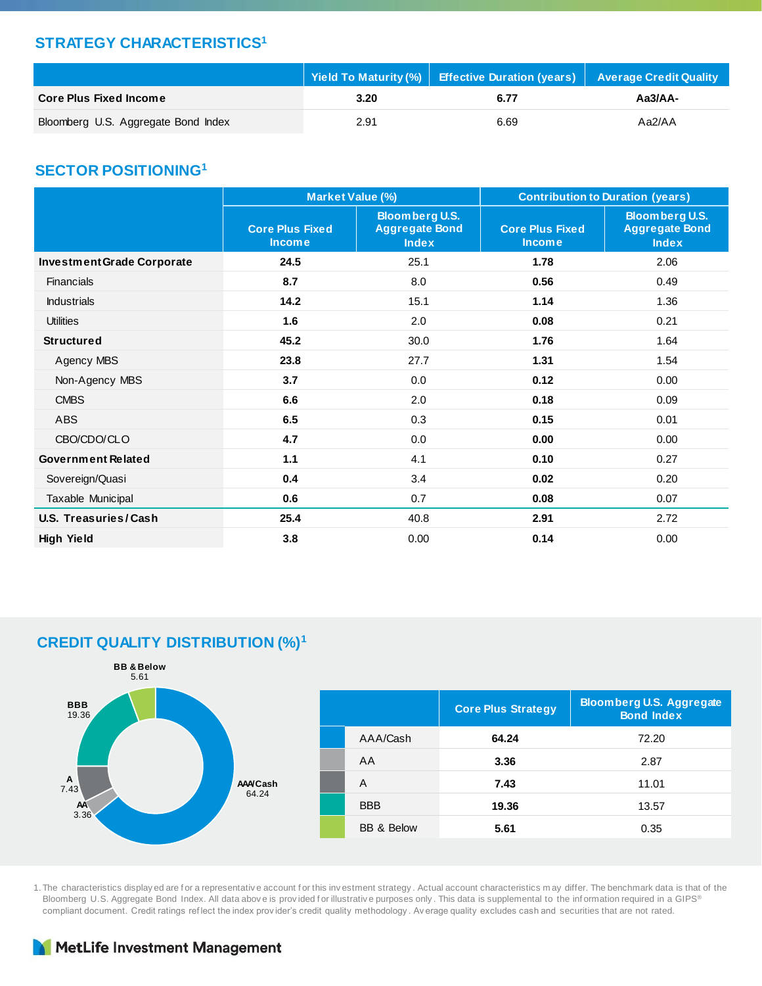#### **STRATEGY CHARACTERISTICS<sup>1</sup>**

|                                     | Yield To Maturity (%)   Effective Duration (years)   Average Credit Quality |      |           |  |
|-------------------------------------|-----------------------------------------------------------------------------|------|-----------|--|
| <b>Core Plus Fixed Income</b>       | 3.20                                                                        | 6.77 | $Aa3/AA-$ |  |
| Bloomberg U.S. Aggregate Bond Index | 2.91                                                                        | 6.69 | Aa2/AA    |  |

#### **SECTOR POSITIONING<sup>1</sup>**

|                                   | Market Value (%)                        |                                                                | <b>Contribution to Duration (years)</b> |                                                                |  |  |
|-----------------------------------|-----------------------------------------|----------------------------------------------------------------|-----------------------------------------|----------------------------------------------------------------|--|--|
|                                   | <b>Core Plus Fixed</b><br><b>Income</b> | <b>Bloomberg U.S.</b><br><b>Aggregate Bond</b><br><b>Index</b> | <b>Core Plus Fixed</b><br><b>Income</b> | <b>Bloomberg U.S.</b><br><b>Aggregate Bond</b><br><b>Index</b> |  |  |
| <b>Investment Grade Corporate</b> | 24.5                                    | 25.1                                                           | 1.78                                    | 2.06                                                           |  |  |
| <b>Financials</b>                 | 8.7                                     | 8.0                                                            | 0.56                                    | 0.49                                                           |  |  |
| <b>Industrials</b>                | 14.2                                    | 15.1                                                           | 1.14                                    | 1.36                                                           |  |  |
| <b>Utilities</b>                  | 1.6                                     | 2.0                                                            | 0.08                                    | 0.21                                                           |  |  |
| <b>Structured</b>                 | 45.2                                    | 30.0                                                           | 1.76                                    | 1.64                                                           |  |  |
| Agency MBS                        | 23.8                                    | 27.7                                                           | 1.31                                    | 1.54                                                           |  |  |
| Non-Agency MBS                    | 3.7                                     | 0.0                                                            | 0.12                                    | 0.00                                                           |  |  |
| <b>CMBS</b>                       | 6.6                                     | 2.0                                                            | 0.18                                    | 0.09                                                           |  |  |
| <b>ABS</b>                        | 6.5                                     | 0.3                                                            | 0.15                                    | 0.01                                                           |  |  |
| CBO/CDO/CLO                       | 4.7                                     | 0.0                                                            | 0.00                                    | 0.00                                                           |  |  |
| <b>Government Related</b>         | 1.1                                     | 4.1                                                            | 0.10                                    | 0.27                                                           |  |  |
| Sovereign/Quasi                   | 0.4                                     | 3.4                                                            | 0.02                                    | 0.20                                                           |  |  |
| Taxable Municipal                 | 0.6                                     | 0.7                                                            | 0.08                                    | 0.07                                                           |  |  |
| U.S. Treasuries/Cash              | 25.4                                    | 40.8                                                           | 2.91                                    | 2.72                                                           |  |  |
| <b>High Yield</b>                 | 3.8                                     | 0.00                                                           | 0.14                                    | 0.00                                                           |  |  |

### **CREDIT QUALITY DISTRIBUTION (%)<sup>1</sup>**



1. The characteristics display ed are f or a representativ e account f or this inv estment strategy . Actual account characteristics m ay differ. The benchmark data is that of the Bloomberg U.S. Aggregate Bond Index. All data above is provided for illustrative purposes only. This data is supplemental to the information required in a GIPS® compliant document. Credit ratings ref lect the index prov ider's credit quality methodology . Av erage quality excludes cash and securities that are not rated.

### MetLife Investment Management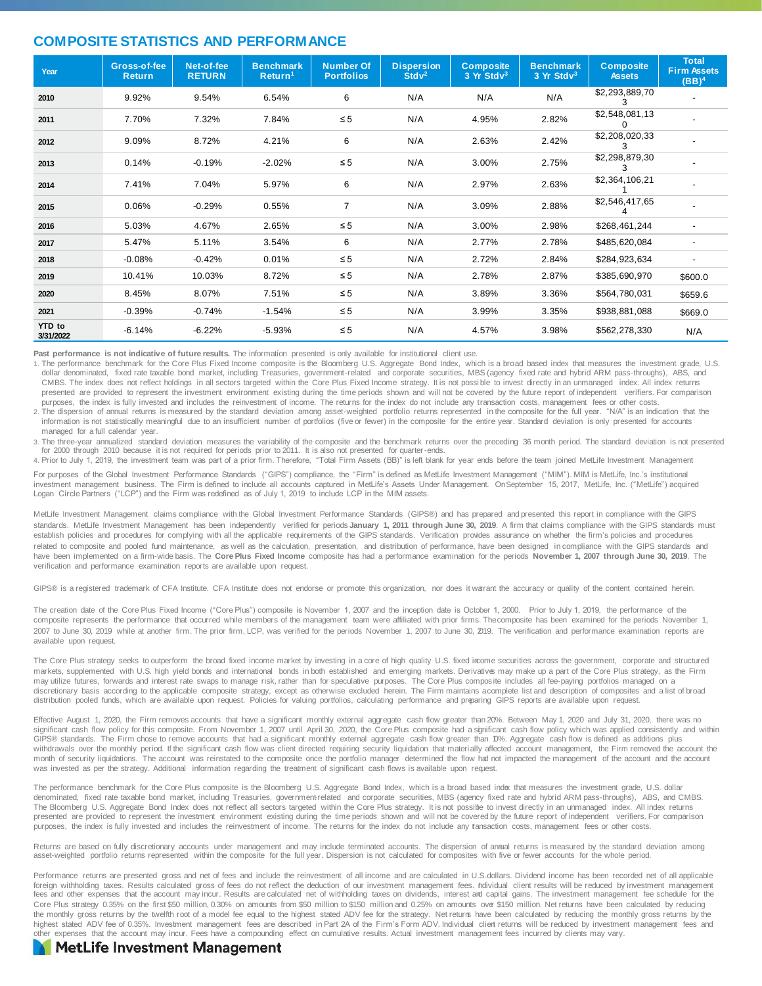#### **COMPOSITE STATISTICS AND PERFORMANCE**

| Year                       | Gross-of-fee<br><b>Return</b> | Net-of-fee<br><b>RETURN</b> | <b>Benchmark</b><br>Return <sup>1</sup> | <b>Number Of</b><br><b>Portfolios</b> | <b>Dispersion</b><br>Stdv <sup>2</sup> | <b>Composite</b><br>3 Yr Stdv <sup>3</sup> | <b>Benchmark</b><br>$3 Yr$ Std $v3$ | <b>Composite</b><br><b>Assets</b> | <b>Total</b><br><b>Firm Assets</b><br>(BB) <sup>4</sup> |
|----------------------------|-------------------------------|-----------------------------|-----------------------------------------|---------------------------------------|----------------------------------------|--------------------------------------------|-------------------------------------|-----------------------------------|---------------------------------------------------------|
| 2010                       | 9.92%                         | 9.54%                       | 6.54%                                   | 6                                     | N/A                                    | N/A                                        | N/A                                 | \$2,293,889,70                    |                                                         |
| 2011                       | 7.70%                         | 7.32%                       | 7.84%                                   | $\leq 5$                              | N/A                                    | 4.95%                                      | 2.82%                               | \$2,548,081,13                    |                                                         |
| 2012                       | 9.09%                         | 8.72%                       | 4.21%                                   | 6                                     | N/A                                    | 2.63%                                      | 2.42%                               | \$2,208,020,33<br>З               |                                                         |
| 2013                       | 0.14%                         | $-0.19%$                    | $-2.02%$                                | $\leq 5$                              | N/A                                    | 3.00%                                      | 2.75%                               | \$2,298,879,30<br>З               |                                                         |
| 2014                       | 7.41%                         | 7.04%                       | 5.97%                                   | 6                                     | N/A                                    | 2.97%                                      | 2.63%                               | \$2,364,106,21                    |                                                         |
| 2015                       | 0.06%                         | $-0.29%$                    | 0.55%                                   | $\overline{7}$                        | N/A                                    | 3.09%                                      | 2.88%                               | \$2,546,417,65                    |                                                         |
| 2016                       | 5.03%                         | 4.67%                       | 2.65%                                   | $\leq 5$                              | N/A                                    | 3.00%                                      | 2.98%                               | \$268,461,244                     | $\overline{\phantom{a}}$                                |
| 2017                       | 5.47%                         | 5.11%                       | 3.54%                                   | 6                                     | N/A                                    | 2.77%                                      | 2.78%                               | \$485,620,084                     | $\blacksquare$                                          |
| 2018                       | $-0.08%$                      | $-0.42%$                    | 0.01%                                   | $\leq 5$                              | N/A                                    | 2.72%                                      | 2.84%                               | \$284,923,634                     | $\blacksquare$                                          |
| 2019                       | 10.41%                        | 10.03%                      | 8.72%                                   | $\leq 5$                              | N/A                                    | 2.78%                                      | 2.87%                               | \$385,690,970                     | \$600.0                                                 |
| 2020                       | 8.45%                         | 8.07%                       | 7.51%                                   | $\leq 5$                              | N/A                                    | 3.89%                                      | 3.36%                               | \$564,780,031                     | \$659.6                                                 |
| 2021                       | $-0.39%$                      | $-0.74%$                    | $-1.54%$                                | $\leq 5$                              | N/A                                    | 3.99%                                      | 3.35%                               | \$938,881,088                     | \$669.0                                                 |
| <b>YTD</b> to<br>3/31/2022 | $-6.14%$                      | $-6.22%$                    | $-5.93%$                                | $\leq 5$                              | N/A                                    | 4.57%                                      | 3.98%                               | \$562,278,330                     | N/A                                                     |

**Past performance is not indicative of future results.** The information presented is only available for institutional client use.

1. The performance benchmark for the Core Plus Fixed Income composite is the Bloomberg U.S. Aggregate Bond Index, which is a broad based index that measures the investment grade, U.S.<br>dollar denominated, fixed rate taxable CMBS. The index does not reflect holdings in all sectors targeted within the Core Plus Fixed Income strategy. It is not possible to invest directly in an unmanaged index. All index returns presented are provided to represent the investment environment existing during the time periods shown and will not be covered by the future report of independent verifiers. For comparison

purposes, the index is fully invested and includes the reinvestment of income. The returns for the index do not include any transaction costs, management fees or other costs.<br>2. The dispersion of annual returns is measured information is not statistically meaningful due to an insufficient number of portfolios (five or fewer) in the composite for the entire year. Standard deviation is only presented for accounts managed for a full calendar year.

3. The three-year annualized standard deviation measures the variability of the composite and the benchmark returns over the preceding 36 month period. The standard deviation is not presented for 2000 through 2010 because it is not required for periods prior to 2011. It is also not presented for quarter-ends.

4. Prior to July 1, 2019, the investment team was part of a prior firm. Therefore, "Total Firm Assets (BB)" is left blank for year ends before the team joined MetLife Investment Management

For purposes of the Global Investment Performance Standards ("GIPS") compliance, the "Firm" is defined as MetLife Investment Management ("MIM"). MIM is MetLife, Inc.'s institutional investment management business. The Firm is defined to include all accounts captured in MetLife's Assets Under Management. OnSeptember 15, 2017, MetLife, Inc. ("MetLife") acquired Logan Circle Partners ("LCP") and the Firm was redefined as of July 1, 2019 to include LCP in the MIM assets.

MetLife Investment Management claims compliance with the Global Investment Performance Standards (GIPS®) and has prepared and presented this report in compliance with the GIPS standards. MetLife Investment Management has been independently verified for periods January 1, 2011 through June 30, 2019. A firm that claims compliance with the GIPS standards must establish policies and procedures for complying with all the applicable requirements of the GIPS standards. Verification provides assurance on whether the firm's policies and procedures related to composite and pooled fund maintenance, as well as the calculation, presentation, and distribution of performance, have been designed in compliance with the GIPS standards and have been implemented on a firm-wide basis. The **Core Plus Fixed Income** composite has had a performance examination for the periods **November 1, 2007 through June 30, 2019**. The verification and performance examination reports are available upon request.

GIPS® is a registered trademark of CFA Institute. CFA Institute does not endorse or promote this organization, nor does it warrant the accuracy or quality of the content contained herein.

The creation date of the Core Plus Fixed Income ("Core Plus") composite is November 1, 2007 and the inception date is October 1, 2000. Prior to July 1, 2019, the performance of the composite represents the performance that occurred while members of the management team were affiliated with prior firms. Thecomposite has been examined for the periods November 1, 2007 to June 30, 2019 while at another firm. The prior firm, LCP, was verified for the periods November 1, 2007 to June 30, 2019. The verification and performance examination reports are available upon request.

The Core Plus strategy seeks to outperform the broad fixed income market by investing in a core of high quality U.S. fixed income securities across the government, corporate and structured markets, supplemented with U.S. high yield bonds and international bonds in both established and emerging markets. Derivatives may make up a part of the Core Plus strategy, as the Firm may utilize futures, forwards and interest rate swaps to manage risk, rather than for speculative purposes. The Core Plus composite includes all fee-paying portfolios managed on a discretionary basis according to the applicable composite strategy, except as otherwise excluded herein. The Firm maintains acomplete list and description of composites and a list of broad distribution pooled funds, which are available upon request. Policies for valuing portfolios, calculating performance and preparing GIPS reports are available upon request.

Effective August 1, 2020, the Firm removes accounts that have a significant monthly external aggregate cash flow greater than 20%. Between May 1, 2020 and July 31, 2020, there was no significant cash flow policy for this composite. From November 1, 2007 until April 30, 2020, the Core Plus composite had a significant cash flow policy which was applied consistently and within GIPS® standards. The Firm chose to remove accounts that had a significant monthly external aggregate cash flow greater than 10%. Aggregate cash flow is defined as additions plus withdrawals over the monthly period. If the significant cash flow was client directed requiring security liquidation that materially affected account management, the Firm removed the account the month of security liquidations. The account was reinstated to the composite once the portfolio manager determined the flow had not impacted the management of the account and the account was invested as per the strategy. Additional information regarding the treatment of significant cash flows is available upon request.

The performance benchmark for the Core Plus composite is the Bloomberg U.S. Aggregate Bond Index, which is a broad based index that measures the investment grade, U.S. dollar denominated, fixed rate taxable bond market, including Treasuries, government-related and corporate securities, MBS (agency fixed rate and hybrid ARM pass-throughs), ABS, and CMBS. The Bloomberg U.S. Aggregate Bond Index does not reflect all sectors targeted within the Core Plus strategy. It is not possible to invest directly in an unmanaged index. All index returns presented are provided to represent the investment environment existing during the time periods shown and will not be covered by the future report of independent verifiers. For comparison purposes, the index is fully invested and includes the reinvestment of income. The returns for the index do not include any tansaction costs, management fees or other costs.

Returns are based on fully discretionary accounts under management and may include terminated accounts. The dispersion of annual returns is measured by the standard deviation among<br>asset-weighted portfolio returns represen

Performance returns are presented gross and net of fees and include the reinvestment of all income and are calculated in U.S.dollars. Dividend income has been recorded net of all applicable foreign withholding taxes. Results calculated gross of fees do not reflect the deduction of our investment management fees. hdividual client results will be reduced by investment management fees and other expenses that the account may incur. Results are calculated net of withholding taxes on dividends, interest and capital gains. The investment management fee schedule for the Core Plus strategy 0.35% on the first \$50 million, 0.30% on amounts from \$50 million to \$150 million and 0.25% on amounts over \$150 million. Net returns have been calculated by reducing the monthly gross returns by the twelfth root of a model fee equal to the highest stated ADV fee for the strategy. Net returns have been calculated by reducing the monthly gross returns by the highest stated ADV fee of 0.35%. Investment management fees are described in Part 2A of the Firm's Form ADV. Individual client returns will be reduced by investment management fees and other expenses that the account may incur. Fees have a compounding effect on cumulative results. Actual investment management fees incurred by clients may vary.

#### **MetLife Investment Management**